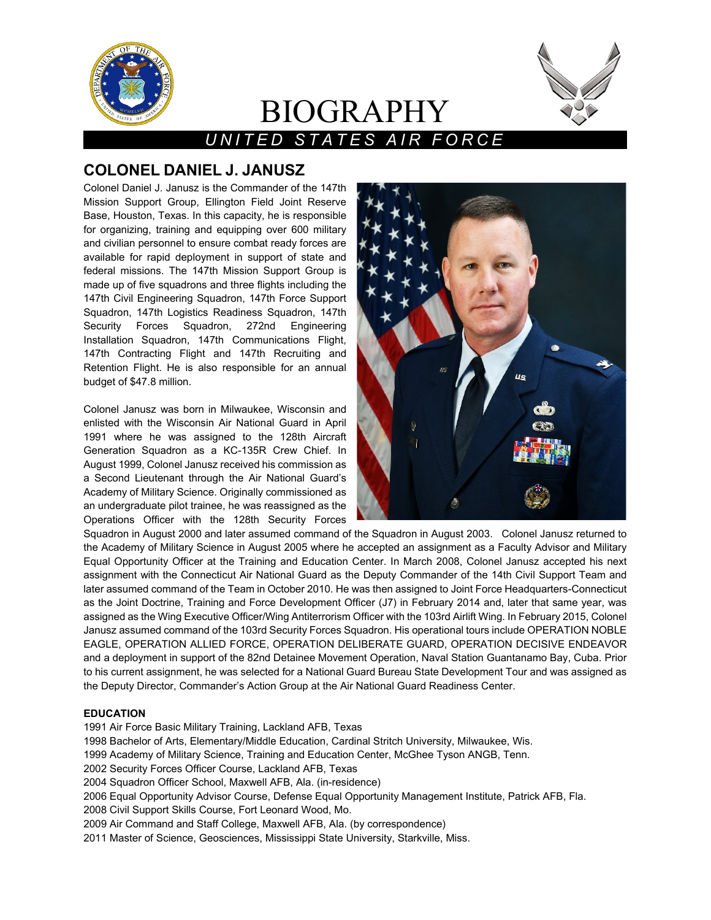

# BIOGRAPHY



## *UNITED STATES AIR FORCE*

### **COLONEL DANIEL J. JANUSZ**

Colonel Daniel J. Janusz is the Commander of the 147th Mission Support Group, Ellington Field Joint Reserve Base, Houston, Texas. In this capacity, he is responsible for organizing, training and equipping over 600 military and civilian personnel to ensure combat ready forces are available for rapid deployment in support of state and federal missions. The 147th Mission Support Group is made up of five squadrons and three flights including the 147th Civil Engineering Squadron, 147th Force Support Squadron, 147th Logistics Readiness Squadron, 147th Security Forces Squadron, 272nd Engineering Installation Squadron, 147th Communications Flight, 147th Contracting Flight and 147th Recruiting and Retention Flight. He is also responsible for an annual budget of \$47.8 million.

Colonel Janusz was born in Milwaukee, Wisconsin and enlisted with the Wisconsin Air National Guard in April 1991 where he was assigned to the 128th Aircraft Generation Squadron as a KC-135R Crew Chief. In August 1999, Colonel Janusz received his commission as a Second Lieutenant through the Air National Guard's Academy of Military Science. Originally commissioned as an undergraduate pilot trainee, he was reassigned as the Operations Officer with the 128th Security Forces



Squadron in August 2000 and later assumed command of the Squadron in August 2003. Colonel Janusz returned to the Academy of Military Science in August 2005 where he accepted an assignment as a Faculty Advisor and Military Equal Opportunity Officer at the Training and Education Center. In March 2008, Colonel Janusz accepted his next assignment with the Connecticut Air National Guard as the Deputy Commander of the 14th Civil Support Team and later assumed command of the Team in October 2010. He was then assigned to Joint Force Headquarters-Connecticut as the Joint Doctrine, Training and Force Development Officer (J7) in February 2014 and, later that same year, was assigned as the Wing Executive Officer/Wing Antiterrorism Officer with the 103rd Airlift Wing. In February 2015, Colonel Janusz assumed command of the 103rd Security Forces Squadron. His operational tours include OPERATION NOBLE EAGLE, OPERATION ALLIED FORCE, OPERATION DELIBERATE GUARD, OPERATION DECISIVE ENDEAVOR and a deployment in support of the 82nd Detainee Movement Operation, Naval Station Guantanamo Bay, Cuba. Prior to his current assignment, he was selected for a National Guard Bureau State Development Tour and was assigned as the Deputy Director, Commander's Action Group at the Air National Guard Readiness Center.

#### **EDUCATION**

1991 Air Force Basic Military Training, Lackland AFB, Texas 1998 Bachelor of Arts, Elementary/Middle Education, Cardinal Stritch University, Milwaukee, Wis. 1999 Academy of Military Science, Training and Education Center, McGhee Tyson ANGB, Tenn. 2002 Security Forces Officer Course, Lackland AFB, Texas 2004 Squadron Officer School, Maxwell AFB, Ala. (in-residence) 2006 Equal Opportunity Advisor Course, Defense Equal Opportunity Management Institute, Patrick AFB, Fla. 2008 Civil Support Skills Course, Fort Leonard Wood, Mo. 2009 Air Command and Staff College, Maxwell AFB, Ala. (by correspondence) 2011 Master of Science, Geosciences, Mississippi State University, Starkville, Miss.